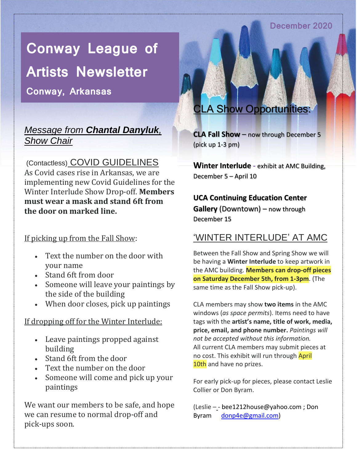#### December 2020

# **Conway League of**

**Artists Newsletter Conway, Arkansas**

### *Message from Chantal Danyluk, Show Chair*

(Contactless) COVID GUIDELINES As Covid cases rise in Arkansas, we are implementing new Covid Guidelines for the Winter Interlude Show Drop-off. **Members must wear a mask and stand 6ft from the door on marked line.**

#### If picking up from the Fall Show:

- Text the number on the door with your name
- Stand 6ft from door
- Someone will leave your paintings by the side of the building
- When door closes, pick up paintings

#### If dropping off for the Winter Interlude:

- Leave paintings propped against building
- Stand 6ft from the door
- Text the number on the door
- Someone will come and pick up your paintings

We want our members to be safe, and hope we can resume to normal drop-off and pick-ups soon.

### **A Show Opportunities**

**CLA Fall Show** – now through December 5 (pick up 1-3 pm)

**Winter Interlude** - exhibit at AMC Building, December 5 – April 10

### **UCA Continuing Education Center Gallery** (Downtown) – now through

December 15

### 'WINTER INTERLUDE' AT AMC

Between the Fall Show and Spring Show we will be having a **Winter Interlude** to keep artwork in the AMC building. **Members can drop-off pieces on Saturday December 5th, from 1-3pm**. (The same time as the Fall Show pick-up).

CLA members may show **two items** in the AMC windows (*as space permits*). Items need to have tags with the **artist's name, title of work, media, price, email, and phone number.** *Paintings will not be accepted without this information.* All current CLA members may submit pieces at no cost. This exhibit will run through April 10th and have no prizes.

For early pick-up for pieces, please contact Leslie Collier or Don Byram.

(Leslie -- [bee1212house@yahoo.com](mailto:bee1212house@yahoo.com) ; Don Byram [donp4e@gmail.com\)](mailto:donp4e@gmail.com)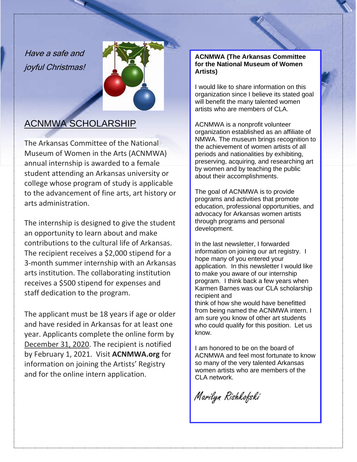Have a safe and joyful Christmas!



### ACNMWA SCHOLARSHIP

The Arkansas Committee of the National Museum of Women in the Arts (ACNMWA) annual internship is awarded to a female student attending an Arkansas university or college whose program of study is applicable to the advancement of fine arts, art history or arts administration.

The internship is designed to give the student an opportunity to learn about and make contributions to the cultural life of Arkansas. The recipient receives a \$2,000 stipend for a 3-month summer internship with an Arkansas arts institution. The collaborating institution receives a \$500 stipend for expenses and staff dedication to the program.

The applicant must be 18 years if age or older and have resided in Arkansas for at least one year. Applicants complete the online form by December 31, 2020. The recipient is notified by February 1, 2021. Visit **ACNMWA.org** for information on joining the Artists' Registry and for the online intern application.

#### **ACNMWA (The Arkansas Committee for the National Museum of Women Artists)**

I would like to share information on this organization since I believe its stated goal will benefit the many talented women artists who are members of CLA.

ACNMWA is a nonprofit volunteer organization established as an affiliate of NMWA. The museum brings recognition to the achievement of women artists of all periods and nationalities by exhibiting, preserving, acquiring, and researching art by women and by teaching the public about their accomplishments.

The goal of ACNMWA is to provide programs and activities that promote education, professional opportunities, and advocacy for Arkansas women artists through programs and personal development.

In the last newsletter, I forwarded information on joining our art registry. I hope many of you entered your application. In this newsletter I would like to make you aware of our internship program. I think back a few years when Karmen Barnes was our CLA scholarship recipient and think of how she would have benefitted

from being named the ACNMWA intern. I am sure you know of other art students who could qualify for this position. Let us know.

I am honored to be on the board of ACNMWA and feel most fortunate to know so many of the very talented Arkansas women artists who are members of the CLA network.

Marilyn Rishkofski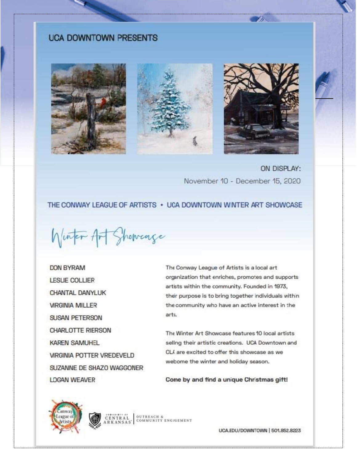#### **UCA DOWNTOWN PRESENTS**





ON DISPLAY: November 10 - December 15, 2020

#### THE CONWAY LEAGUE OF ARTISTS . UCA DOWNTOWN WINTER ART SHOWCASE

Winter Art Showcage

**DON BYRAM LESLIE COLLIER** CHANTAL DANYLUK **VIRGINIA MILLER SUSAN PETERSON CHARLOTTE RIERSON KAREN SAMUHEL VIRGINIA POTTER VREDEVELD** SUZANNE DE SHAZO WAGGONER **LDGAN WEAVER** 

The Conway League of Artists is a local art organization that enriches, promotes and supports artists within the community. Founded in 1973, their purpose is to bring together individuals within the community who have an active interest in the arts.

The Winter Art Showcase features 10 local artists seling their artistic creations. UCA Downtown and CLA are excited to offer this showcase as we webome the winter and holiday season.

Come by and find a unique Christmas gift!





**CENTRAL**<br>ARKANSAS<sup>\*</sup> COMMUNITY ENG/GEMENT

UCA.EDU/DOWNTOWN | 501,852,8223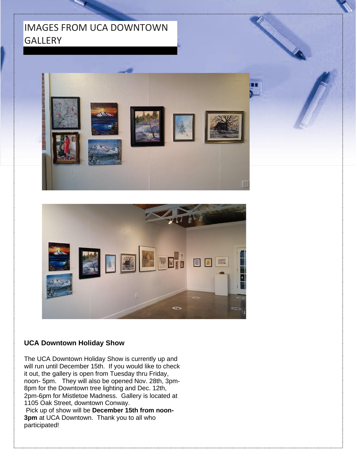### IMAGES FROM UCA DOWNTOWN **GALLERY**





#### **UCA Downtown Holiday Show**

The UCA Downtown Holiday Show is currently up and will run until December 15th. If you would like to check it out, the gallery is open from Tuesday thru Friday, noon- 5pm. They will also be opened Nov. 28th, 3pm-8pm for the Downtown tree lighting and Dec. 12th, 2pm-6pm for Mistletoe Madness. Gallery is located at 1105 Oak Street, downtown Conway. Pick up of show will be **December 15th from noon-3pm** at UCA Downtown. Thank you to all who participated!